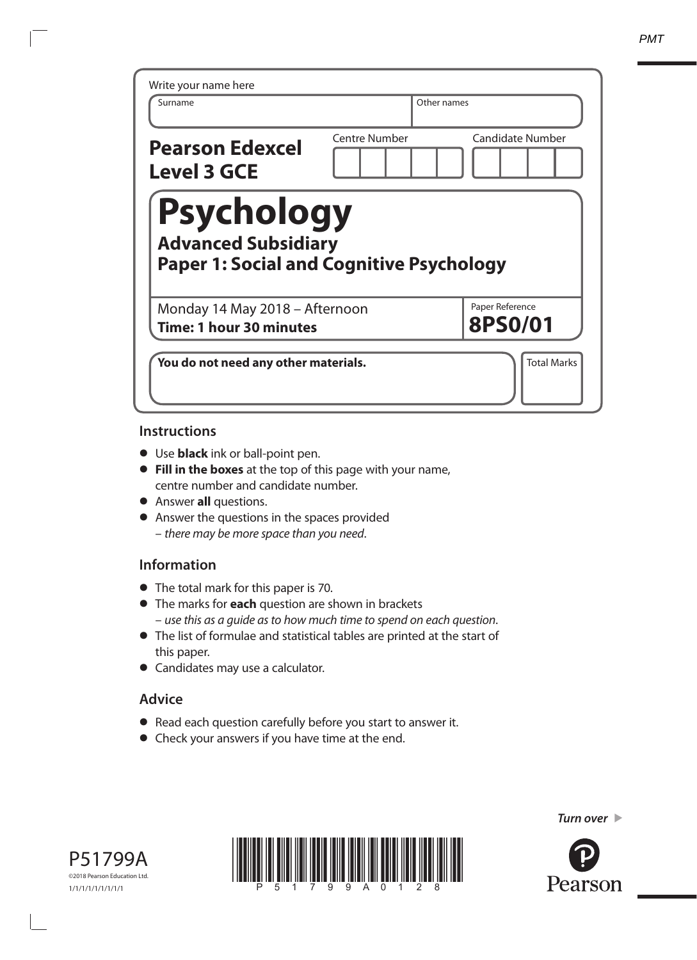| Surname                                         | Other names                                     |                         |
|-------------------------------------------------|-------------------------------------------------|-------------------------|
| <b>Pearson Edexcel</b><br><b>Level 3 GCE</b>    | <b>Centre Number</b>                            | <b>Candidate Number</b> |
|                                                 |                                                 |                         |
| <b>Psychology</b><br><b>Advanced Subsidiary</b> | <b>Paper 1: Social and Cognitive Psychology</b> |                         |

# **Instructions**

- **•** Use **black** ink or ball-point pen.
- **• Fill in the boxes** at the top of this page with your name, centre number and candidate number.
- **•** Answer **all** questions.
- **•** Answer the questions in the spaces provided – *there may be more space than you need*.

# **Information**

- **•** The total mark for this paper is 70.
- **•** The marks for **each** question are shown in brackets – *use this as a guide as to how much time to spend on each question*.
- **•** The list of formulae and statistical tables are printed at the start of this paper.
- **•** Candidates may use a calculator.

# **Advice**

- **•** Read each question carefully before you start to answer it.
- **•** Check your answers if you have time at the end.





*Turn over* 

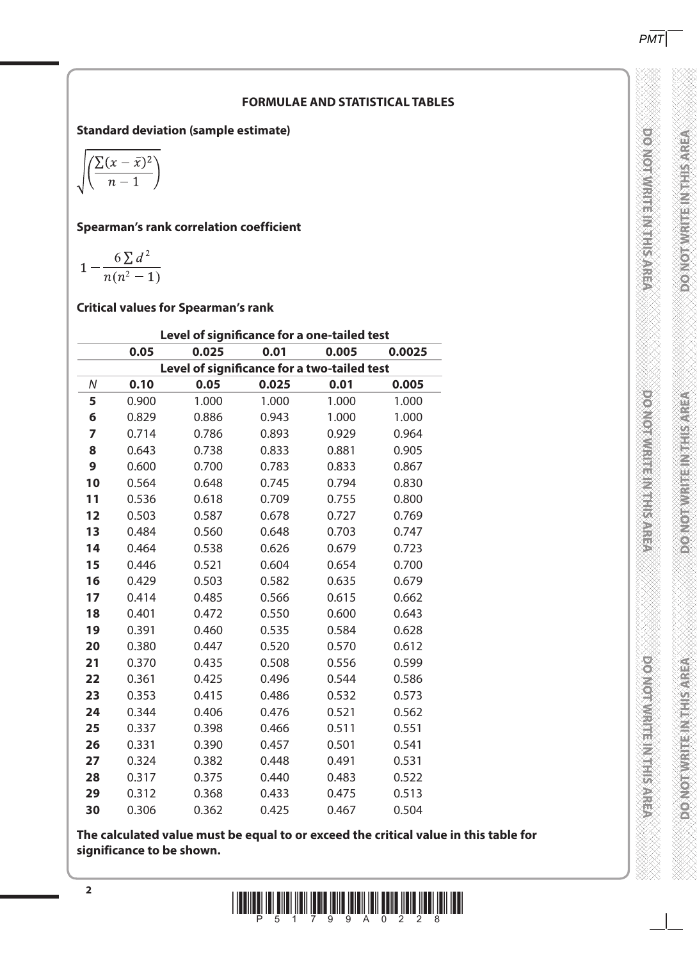**DONOTWRITEINTHISAREA** 

**DONOMIAN EINTERNATION** 

**DONOTWRITEINTHIS AREA** 

### **FORMULAE AND STATISTICAL TABLES**

# **Standard deviation (sample estimate)**

$$
\sqrt{\left(\frac{\sum (x-\bar{x})^2}{n-1}\right)}
$$

**Spearman's rank correlation coefficient**

$$
1 - \frac{6\sum d^2}{n(n^2-1)}
$$

# **Critical values for Spearman's rank**

|    | Level of significance for a one-tailed test |                                             |       |       |        |  |  |  |  |  |  |  |
|----|---------------------------------------------|---------------------------------------------|-------|-------|--------|--|--|--|--|--|--|--|
|    | 0.05                                        | 0.025                                       | 0.01  | 0.005 | 0.0025 |  |  |  |  |  |  |  |
|    |                                             | Level of significance for a two-tailed test |       |       |        |  |  |  |  |  |  |  |
| Ν  | 0.10                                        | 0.05                                        | 0.025 | 0.01  | 0.005  |  |  |  |  |  |  |  |
| 5  | 0.900                                       | 1.000                                       | 1.000 | 1.000 | 1.000  |  |  |  |  |  |  |  |
| 6  | 0.829                                       | 0.886                                       | 0.943 | 1.000 | 1.000  |  |  |  |  |  |  |  |
| 7  | 0.714                                       | 0.786                                       | 0.893 | 0.929 | 0.964  |  |  |  |  |  |  |  |
| 8  | 0.643                                       | 0.738                                       | 0.833 | 0.881 | 0.905  |  |  |  |  |  |  |  |
| 9  | 0.600                                       | 0.700                                       | 0.783 | 0.833 | 0.867  |  |  |  |  |  |  |  |
| 10 | 0.564                                       | 0.648                                       | 0.745 | 0.794 | 0.830  |  |  |  |  |  |  |  |
| 11 | 0.536                                       | 0.618                                       | 0.709 | 0.755 | 0.800  |  |  |  |  |  |  |  |
| 12 | 0.503                                       | 0.587                                       | 0.678 | 0.727 | 0.769  |  |  |  |  |  |  |  |
| 13 | 0.484                                       | 0.560                                       | 0.648 | 0.703 | 0.747  |  |  |  |  |  |  |  |
| 14 | 0.464                                       | 0.538                                       | 0.626 | 0.679 | 0.723  |  |  |  |  |  |  |  |
| 15 | 0.446                                       | 0.521                                       | 0.604 | 0.654 | 0.700  |  |  |  |  |  |  |  |
| 16 | 0.429                                       | 0.503                                       | 0.582 | 0.635 | 0.679  |  |  |  |  |  |  |  |
| 17 | 0.414                                       | 0.485                                       | 0.566 | 0.615 | 0.662  |  |  |  |  |  |  |  |
| 18 | 0.401                                       | 0.472                                       | 0.550 | 0.600 | 0.643  |  |  |  |  |  |  |  |
| 19 | 0.391                                       | 0.460                                       | 0.535 | 0.584 | 0.628  |  |  |  |  |  |  |  |
| 20 | 0.380                                       | 0.447                                       | 0.520 | 0.570 | 0.612  |  |  |  |  |  |  |  |
| 21 | 0.370                                       | 0.435                                       | 0.508 | 0.556 | 0.599  |  |  |  |  |  |  |  |
| 22 | 0.361                                       | 0.425                                       | 0.496 | 0.544 | 0.586  |  |  |  |  |  |  |  |
| 23 | 0.353                                       | 0.415                                       | 0.486 | 0.532 | 0.573  |  |  |  |  |  |  |  |
| 24 | 0.344                                       | 0.406                                       | 0.476 | 0.521 | 0.562  |  |  |  |  |  |  |  |
| 25 | 0.337                                       | 0.398                                       | 0.466 | 0.511 | 0.551  |  |  |  |  |  |  |  |
| 26 | 0.331                                       | 0.390                                       | 0.457 | 0.501 | 0.541  |  |  |  |  |  |  |  |
| 27 | 0.324                                       | 0.382                                       | 0.448 | 0.491 | 0.531  |  |  |  |  |  |  |  |
| 28 | 0.317                                       | 0.375                                       | 0.440 | 0.483 | 0.522  |  |  |  |  |  |  |  |
| 29 | 0.312                                       | 0.368                                       | 0.433 | 0.475 | 0.513  |  |  |  |  |  |  |  |
| 30 | 0.306                                       | 0.362                                       | 0.425 | 0.467 | 0.504  |  |  |  |  |  |  |  |

**The calculated value must be equal to or exceed the critical value in this table for significance to be shown.**

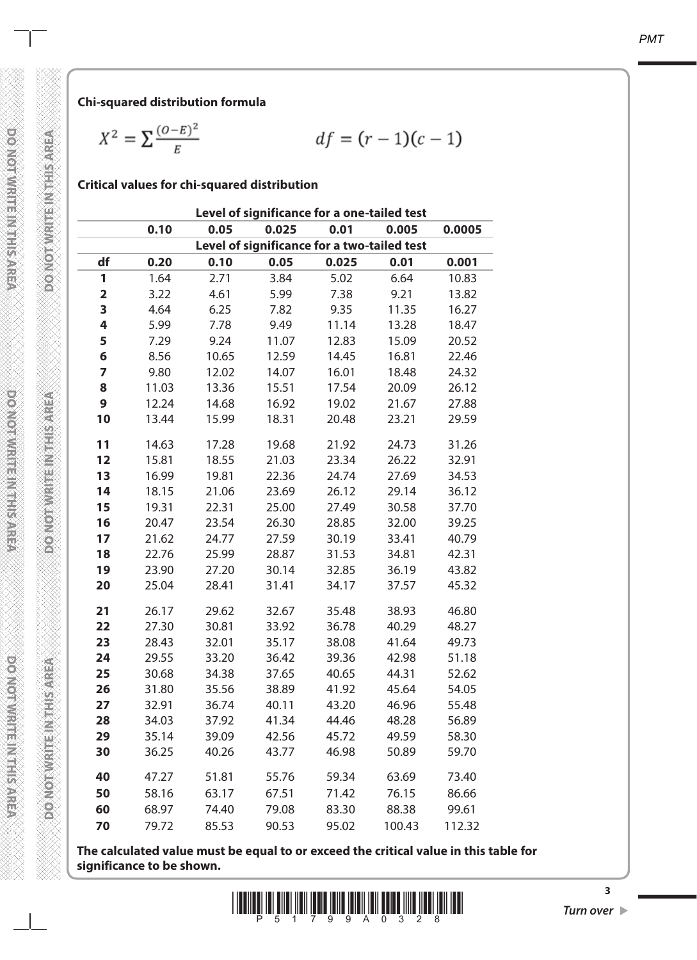**Chi-squared distribution formula**

**DONOTWRITEINTHSAREA** 

**DONOTWRITEINTHISAREA** 

**DO NOT WRITE IN THIS AREA** 

$$
X^2 = \sum \frac{(o - E)^2}{E} \qquad df = (r - 1)(c - 1)
$$

**Critical values for chi-squared distribution**

|                         | Level of significance for a one-tailed test |       |                                             |       |        |        |  |  |  |  |  |  |
|-------------------------|---------------------------------------------|-------|---------------------------------------------|-------|--------|--------|--|--|--|--|--|--|
|                         | 0.10                                        | 0.05  | 0.025                                       | 0.01  | 0.005  | 0.0005 |  |  |  |  |  |  |
|                         |                                             |       | Level of significance for a two-tailed test |       |        |        |  |  |  |  |  |  |
| df                      | 0.20                                        | 0.10  | 0.05                                        | 0.025 | 0.01   | 0.001  |  |  |  |  |  |  |
| 1                       | 1.64                                        | 2.71  | 3.84                                        | 5.02  | 6.64   | 10.83  |  |  |  |  |  |  |
| $\overline{\mathbf{2}}$ | 3.22                                        | 4.61  | 5.99                                        | 7.38  | 9.21   | 13.82  |  |  |  |  |  |  |
| 3                       | 4.64                                        | 6.25  | 7.82                                        | 9.35  | 11.35  | 16.27  |  |  |  |  |  |  |
| 4                       | 5.99                                        | 7.78  | 9.49                                        | 11.14 | 13.28  | 18.47  |  |  |  |  |  |  |
| 5                       | 7.29                                        | 9.24  | 11.07                                       | 12.83 | 15.09  | 20.52  |  |  |  |  |  |  |
| 6                       | 8.56                                        | 10.65 | 12.59                                       | 14.45 | 16.81  | 22.46  |  |  |  |  |  |  |
| 7                       | 9.80                                        | 12.02 | 14.07                                       | 16.01 | 18.48  | 24.32  |  |  |  |  |  |  |
| 8                       | 11.03                                       | 13.36 | 15.51                                       | 17.54 | 20.09  | 26.12  |  |  |  |  |  |  |
| 9                       | 12.24                                       | 14.68 | 16.92                                       | 19.02 | 21.67  | 27.88  |  |  |  |  |  |  |
| 10                      | 13.44                                       | 15.99 | 18.31                                       | 20.48 | 23.21  | 29.59  |  |  |  |  |  |  |
| 11                      | 14.63                                       | 17.28 | 19.68                                       | 21.92 | 24.73  | 31.26  |  |  |  |  |  |  |
| 12                      | 15.81                                       | 18.55 | 21.03                                       | 23.34 | 26.22  | 32.91  |  |  |  |  |  |  |
| 13                      | 16.99                                       | 19.81 | 22.36                                       | 24.74 | 27.69  | 34.53  |  |  |  |  |  |  |
| 14                      | 18.15                                       | 21.06 | 23.69                                       | 26.12 | 29.14  | 36.12  |  |  |  |  |  |  |
| 15                      | 19.31                                       | 22.31 | 25.00                                       | 27.49 | 30.58  | 37.70  |  |  |  |  |  |  |
| 16                      | 20.47                                       | 23.54 | 26.30                                       | 28.85 | 32.00  | 39.25  |  |  |  |  |  |  |
| 17                      | 21.62                                       | 24.77 | 27.59                                       | 30.19 | 33.41  | 40.79  |  |  |  |  |  |  |
| 18                      | 22.76                                       | 25.99 | 28.87                                       | 31.53 | 34.81  | 42.31  |  |  |  |  |  |  |
| 19                      | 23.90                                       | 27.20 | 30.14                                       | 32.85 | 36.19  | 43.82  |  |  |  |  |  |  |
| 20                      | 25.04                                       | 28.41 | 31.41                                       | 34.17 | 37.57  | 45.32  |  |  |  |  |  |  |
| 21                      | 26.17                                       | 29.62 | 32.67                                       | 35.48 | 38.93  | 46.80  |  |  |  |  |  |  |
| 22                      | 27.30                                       | 30.81 | 33.92                                       | 36.78 | 40.29  | 48.27  |  |  |  |  |  |  |
| 23                      | 28.43                                       | 32.01 | 35.17                                       | 38.08 | 41.64  | 49.73  |  |  |  |  |  |  |
| 24                      | 29.55                                       | 33.20 | 36.42                                       | 39.36 | 42.98  | 51.18  |  |  |  |  |  |  |
| 25                      | 30.68                                       | 34.38 | 37.65                                       | 40.65 | 44.31  | 52.62  |  |  |  |  |  |  |
| 26                      | 31.80                                       | 35.56 | 38.89                                       | 41.92 | 45.64  | 54.05  |  |  |  |  |  |  |
| 27                      | 32.91                                       | 36.74 | 40.11                                       | 43.20 | 46.96  | 55.48  |  |  |  |  |  |  |
| 28                      | 34.03                                       | 37.92 | 41.34                                       | 44.46 | 48.28  | 56.89  |  |  |  |  |  |  |
| 29                      | 35.14                                       | 39.09 | 42.56                                       | 45.72 | 49.59  | 58.30  |  |  |  |  |  |  |
| 30                      | 36.25                                       | 40.26 | 43.77                                       | 46.98 | 50.89  | 59.70  |  |  |  |  |  |  |
| 40                      | 47.27                                       | 51.81 | 55.76                                       | 59.34 | 63.69  | 73.40  |  |  |  |  |  |  |
| 50                      | 58.16                                       | 63.17 | 67.51                                       | 71.42 | 76.15  | 86.66  |  |  |  |  |  |  |
| 60                      | 68.97                                       | 74.40 | 79.08                                       | 83.30 | 88.38  | 99.61  |  |  |  |  |  |  |
| 70                      | 79.72                                       | 85.53 | 90.53                                       | 95.02 | 100.43 | 112.32 |  |  |  |  |  |  |

**The calculated value must be equal to or exceed the critical value in this table for significance to be shown.**

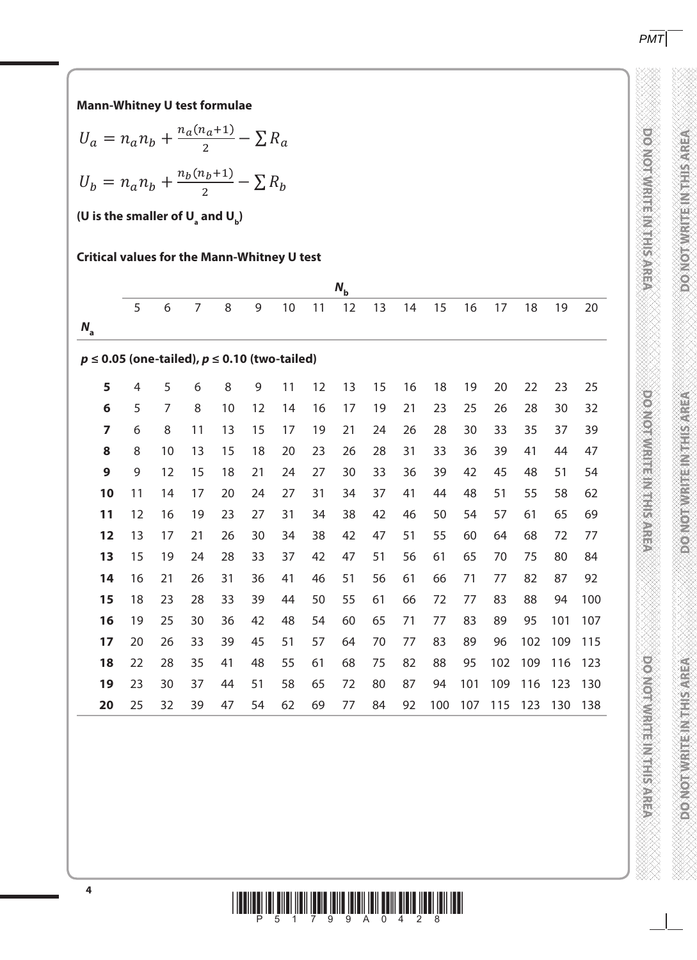**DO NOTWRITE MATHSAREA** 

DO NOTIVISTIE MITHIERAREA

DONOTWRITE IN THIS AREA

#### **Mann-Whitney U test formulae Mann-Whitney U test formulae**

**significance to be shown.** 

$$
U_a = n_a n_b + \frac{n_a(n_a+1)}{2} - \sum R_a
$$
  

$$
U_b = n_a n_b + \frac{n_b(n_b+1)}{2} - \sum R_b
$$

(U is the smaller of U<sub>a</sub> and U<sub>b</sub>)

#### **Critical values for the Mann-Whitney U test Critical values for the Mann-Whitney U test**

|                                                      |    |    |    |    |    |    |    | $N_{\rm b}$ |    |    |     |     |     |     |     |     |
|------------------------------------------------------|----|----|----|----|----|----|----|-------------|----|----|-----|-----|-----|-----|-----|-----|
|                                                      | 5  | 6  | 7  | 8  | 9  | 10 | 11 | 12          | 13 | 14 | 15  | 16  | 17  | 18  | 19  | 20  |
| $N_{\rm a}$                                          |    |    |    |    |    |    |    |             |    |    |     |     |     |     |     |     |
| $p \le 0.05$ (one-tailed), $p \le 0.10$ (two-tailed) |    |    |    |    |    |    |    |             |    |    |     |     |     |     |     |     |
| 5                                                    | 4  | 5  | 6  | 8  | 9  | 11 | 12 | 13          | 15 | 16 | 18  | 19  | 20  | 22  | 23  | 25  |
| 6                                                    | 5  | 7  | 8  | 10 | 12 | 14 | 16 | 17          | 19 | 21 | 23  | 25  | 26  | 28  | 30  | 32  |
| 7                                                    | 6  | 8  | 11 | 13 | 15 | 17 | 19 | 21          | 24 | 26 | 28  | 30  | 33  | 35  | 37  | 39  |
| 8                                                    | 8  | 10 | 13 | 15 | 18 | 20 | 23 | 26          | 28 | 31 | 33  | 36  | 39  | 41  | 44  | 47  |
| 9                                                    | 9  | 12 | 15 | 18 | 21 | 24 | 27 | 30          | 33 | 36 | 39  | 42  | 45  | 48  | 51  | 54  |
| 10                                                   | 11 | 14 | 17 | 20 | 24 | 27 | 31 | 34          | 37 | 41 | 44  | 48  | 51  | 55  | 58  | 62  |
| 11                                                   | 12 | 16 | 19 | 23 | 27 | 31 | 34 | 38          | 42 | 46 | 50  | 54  | 57  | 61  | 65  | 69  |
| 12                                                   | 13 | 17 | 21 | 26 | 30 | 34 | 38 | 42          | 47 | 51 | 55  | 60  | 64  | 68  | 72  | 77  |
| 13                                                   | 15 | 19 | 24 | 28 | 33 | 37 | 42 | 47          | 51 | 56 | 61  | 65  | 70  | 75  | 80  | 84  |
| 14                                                   | 16 | 21 | 26 | 31 | 36 | 41 | 46 | 51          | 56 | 61 | 66  | 71  | 77  | 82  | 87  | 92  |
| 15                                                   | 18 | 23 | 28 | 33 | 39 | 44 | 50 | 55          | 61 | 66 | 72  | 77  | 83  | 88  | 94  | 100 |
| 16                                                   | 19 | 25 | 30 | 36 | 42 | 48 | 54 | 60          | 65 | 71 | 77  | 83  | 89  | 95  | 101 | 107 |
| 17                                                   | 20 | 26 | 33 | 39 | 45 | 51 | 57 | 64          | 70 | 77 | 83  | 89  | 96  | 102 | 109 | 115 |
| 18                                                   | 22 | 28 | 35 | 41 | 48 | 55 | 61 | 68          | 75 | 82 | 88  | 95  | 102 | 109 | 116 | 123 |
| 19                                                   | 23 | 30 | 37 | 44 | 51 | 58 | 65 | 72          | 80 | 87 | 94  | 101 | 109 | 116 | 123 | 130 |
| 20                                                   | 25 | 32 | 39 | 47 | 54 | 62 | 69 | 77          | 84 | 92 | 100 | 107 | 115 | 123 | 130 | 138 |

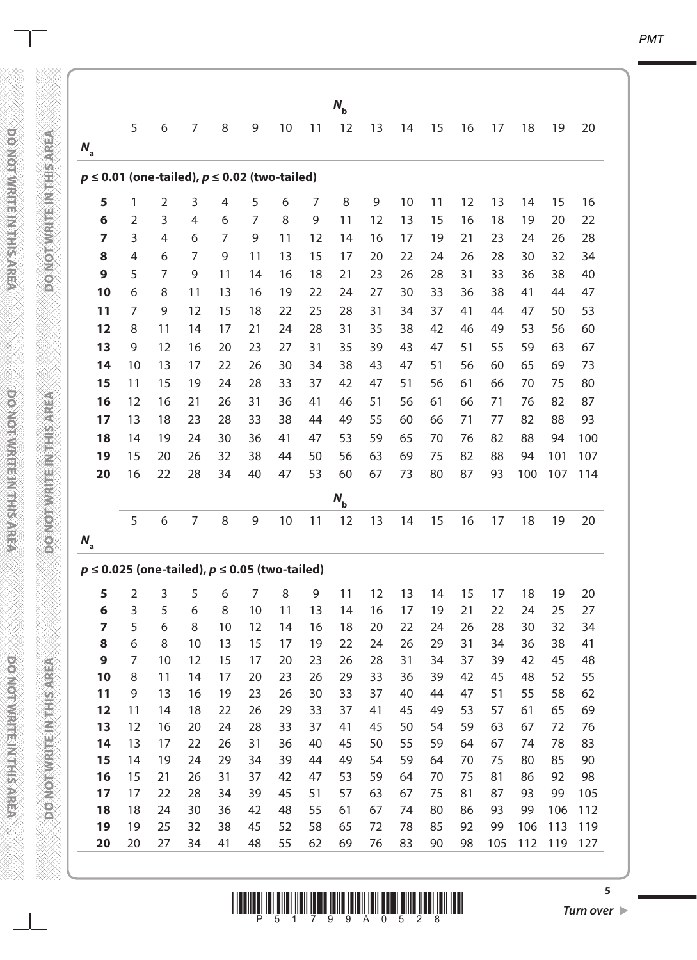|                                                       |                |                |                |                |          |          |          | $N_{\rm b}$ |          |          |          |          |          |          |          |          |
|-------------------------------------------------------|----------------|----------------|----------------|----------------|----------|----------|----------|-------------|----------|----------|----------|----------|----------|----------|----------|----------|
|                                                       | 5              | 6              | $\overline{7}$ | 8              | 9        | 10       | 11       | 12          | 13       | 14       | 15       | 16       | 17       | 18       | 19       | 20       |
| $N_{\rm a}$                                           |                |                |                |                |          |          |          |             |          |          |          |          |          |          |          |          |
|                                                       |                |                |                |                |          |          |          |             |          |          |          |          |          |          |          |          |
| $p \le 0.01$ (one-tailed), $p \le 0.02$ (two-tailed)  |                |                |                |                |          |          |          |             |          |          |          |          |          |          |          |          |
| 5                                                     | 1              | $\overline{2}$ | 3              | $\overline{4}$ | 5        | 6        | 7        | 8           | 9        | 10       | 11       | 12       | 13       | 14       | 15       | 16       |
| 6                                                     | $\overline{2}$ | 3              | $\overline{4}$ | 6              | 7        | 8        | 9        | 11          | 12       | 13       | 15       | 16       | 18       | 19       | 20       | 22       |
| $\overline{7}$                                        | 3              | $\overline{4}$ | 6              | $\overline{7}$ | 9        | 11       | 12       | 14          | 16       | 17       | 19       | 21       | 23       | 24       | 26       | 28       |
| 8                                                     | $\overline{4}$ | 6              | $\overline{7}$ | 9              | 11       | 13       | 15       | 17          | 20       | 22       | 24       | 26       | 28       | 30       | 32       | 34       |
| 9                                                     | 5              | 7              | 9              | 11             | 14       | 16       | 18       | 21          | 23       | 26       | 28       | 31       | 33       | 36       | 38       | 40       |
| 10                                                    | 6              | 8              | 11             | 13             | 16       | 19       | 22       | 24          | 27       | 30       | 33       | 36       | 38       | 41       | 44       | 47       |
| 11<br>12                                              | 7              | 9              | 12             | 15             | 18       | 22       | 25       | 28          | 31       | 34       | 37       | 41       | 44       | 47       | 50       | 53       |
| 13                                                    | 8<br>9         | 11<br>12       | 14<br>16       | 17<br>20       | 21<br>23 | 24<br>27 | 28<br>31 | 31<br>35    | 35<br>39 | 38<br>43 | 42<br>47 | 46<br>51 | 49<br>55 | 53<br>59 | 56<br>63 | 60<br>67 |
| 14                                                    | 10             | 13             | 17             | 22             | 26       | 30       | 34       | 38          | 43       | 47       | 51       | 56       | 60       | 65       | 69       | 73       |
| 15                                                    | 11             | 15             | 19             | 24             | 28       | 33       | 37       | 42          | 47       | 51       | 56       | 61       | 66       | 70       | 75       | 80       |
| 16                                                    | 12             | 16             | 21             | 26             | 31       | 36       | 41       | 46          | 51       | 56       | 61       | 66       | 71       | 76       | 82       | 87       |
| 17                                                    | 13             | 18             | 23             | 28             | 33       | 38       | 44       | 49          | 55       | 60       | 66       | 71       | 77       | 82       | 88       | 93       |
| 18                                                    | 14             | 19             | 24             | 30             | 36       | 41       | 47       | 53          | 59       | 65       | 70       | 76       | 82       | 88       | 94       | 100      |
| 19                                                    | 15             | 20             | 26             | 32             | 38       | 44       | 50       | 56          | 63       | 69       | 75       | 82       | 88       | 94       | 101      | 107      |
| 20                                                    | 16             | 22             | 28             | 34             | 40       | 47       | 53       | 60          | 67       | 73       | 80       | 87       | 93       | 100      | 107      | 114      |
|                                                       |                |                |                |                |          |          |          |             |          |          |          |          |          |          |          |          |
|                                                       |                |                |                |                |          |          |          | $N_{\rm b}$ |          |          |          |          |          |          |          |          |
| N<br>a                                                | 5              | 6              | 7              | 8              | 9        | 10       | 11       | 12          | 13       | 14       | 15       | 16       | 17       | 18       | 19       | 20       |
| $p \le 0.025$ (one-tailed), $p \le 0.05$ (two-tailed) |                |                |                |                |          |          |          |             |          |          |          |          |          |          |          |          |
| 5                                                     | $\overline{2}$ | 3              | 5              | 6              | 7        | 8        | 9        | 11          | 12       | 13       | 14       | 15       | 17       | 18       | 19       | 20       |
| 6                                                     | 3              | 5              | 6              | 8              | 10       | 11       | 13       | 14          | 16       | 17       | 19       | 21       | 22       | 24       | 25       | 27       |
| 7                                                     | 5              | 6              | 8              | 10             | 12       | 14       | 16       | 18          | 20       | 22       | 24       | 26       | 28       | 30       | 32       | 34       |
| 8                                                     | 6              | 8              | 10             | 13             | 15       | 17       | 19       | 22          | 24       | 26       | 29       | 31       | 34       | 36       | 38       | 41       |
| 9                                                     | $\overline{7}$ | 10             | 12             | 15             | 17       | 20       | 23       | 26          | 28       | 31       | 34       | 37       | 39       | 42       | 45       | 48       |
| 10                                                    | 8              | 11             | 14             | 17             | 20       | 23       | 26       | 29          | 33       | 36       | 39       | 42       | 45       | 48       | 52       | 55       |
| 11                                                    | 9              | 13             | 16             | 19             | 23       | 26       | 30       | 33          | 37       | 40       | 44       | 47       | 51       | 55       | 58       | 62       |
| 12<br>13                                              | 11<br>12       | 14<br>16       | 18<br>20       | 22<br>24       | 26<br>28 | 29<br>33 | 33<br>37 | 37<br>41    | 41<br>45 | 45<br>50 | 49<br>54 | 53<br>59 | 57<br>63 | 61<br>67 | 65<br>72 | 69<br>76 |
| 14                                                    | 13             | 17             | 22             | 26             | 31       | 36       | 40       | 45          | 50       | 55       | 59       | 64       | 67       | 74       | 78       | 83       |
| 15                                                    | 14             | 19             | 24             | 29             | 34       | 39       | 44       | 49          | 54       | 59       | 64       | 70       | 75       | 80       | 85       | 90       |
| 16                                                    | 15             | 21             | 26             | 31             | 37       | 42       | 47       | 53          | 59       | 64       | 70       | 75       | 81       | 86       | 92       | 98       |
| 17                                                    | 17             | 22             | 28             | 34             | 39       | 45       | 51       | 57          | 63       | 67       | 75       | 81       | 87       | 93       | 99       | 105      |
| 18                                                    | 18             | 24             | 30             | 36             | 42       | 48       | 55       | 61          | 67       | 74       | 80       | 86       | 93       | 99       | 106      | 112      |
| 19                                                    | 19             | 25             | 32             | 38             | 45       | 52       | 58       | 65          | 72       | 78       | 85       | 92       | 99       | 106      | 113      | 119      |
| 20                                                    | 20             | 27             | 34             | 41             | 48       | 55       | 62       | 69          | 76       | 83       | 90       | 98       | 105      | 112      | 119      | 127      |

**DO NOT WRITE IN THIS AREA** 

**DOMOTWERE INTHIS AREA** 

**DOMOTWRITENTHIS AREA** 

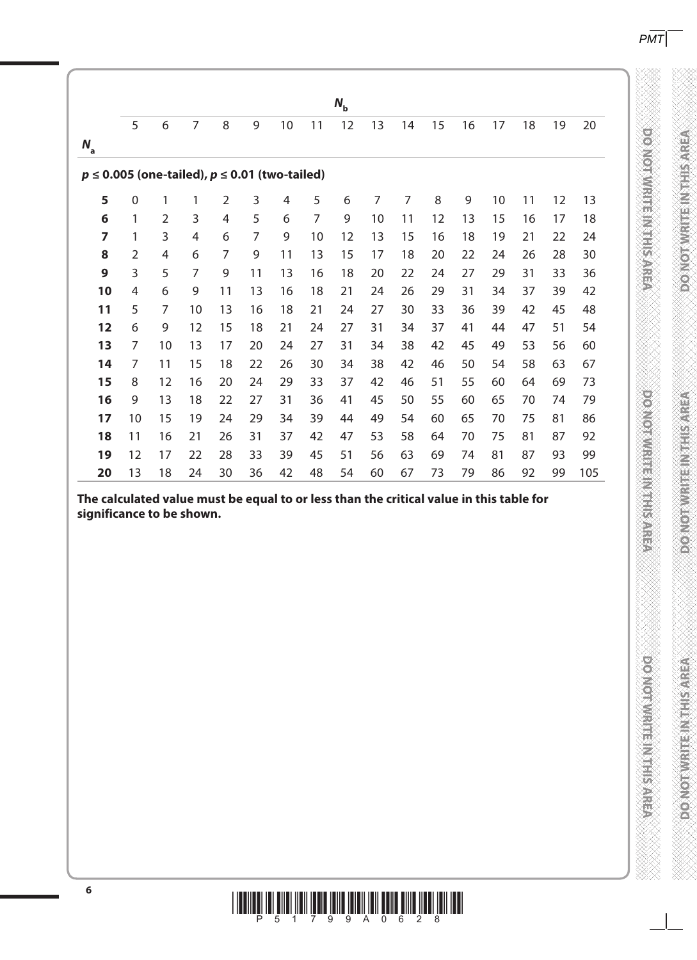DO NOT WRITE IN THIS AREA

**DOMOTWRITE MITHIERAREA** 

DONOTWRITE IN THIS AREA

|                                                       |                |                |                |                |                |    |                | $N_{\rm b}$ |                |                |    |    |    |    |    |     |
|-------------------------------------------------------|----------------|----------------|----------------|----------------|----------------|----|----------------|-------------|----------------|----------------|----|----|----|----|----|-----|
|                                                       | 5              | 6              | $\overline{7}$ | 8              | 9              | 10 | 11             | 12          | 13             | 14             | 15 | 16 | 17 | 18 | 19 | 20  |
| $N_{\rm a}$                                           |                |                |                |                |                |    |                |             |                |                |    |    |    |    |    |     |
| $p \le 0.005$ (one-tailed), $p \le 0.01$ (two-tailed) |                |                |                |                |                |    |                |             |                |                |    |    |    |    |    |     |
| 5                                                     | $\mathbf 0$    | 1              | 1              | $\overline{2}$ | 3              | 4  | 5              | 6           | $\overline{7}$ | $\overline{7}$ | 8  | 9  | 10 | 11 | 12 | 13  |
| 6                                                     | 1              | $\overline{2}$ | 3              | 4              | 5              | 6  | $\overline{7}$ | 9           | 10             | 11             | 12 | 13 | 15 | 16 | 17 | 18  |
| 7                                                     | $\mathbf{1}$   | $\overline{3}$ | $\overline{4}$ | 6              | $\overline{7}$ | 9  | 10             | 12          | 13             | 15             | 16 | 18 | 19 | 21 | 22 | 24  |
| 8                                                     | $\overline{2}$ | 4              | 6              | $\overline{7}$ | 9              | 11 | 13             | 15          | 17             | 18             | 20 | 22 | 24 | 26 | 28 | 30  |
| 9                                                     | 3              | 5              | $\overline{7}$ | 9              | 11             | 13 | 16             | 18          | 20             | 22             | 24 | 27 | 29 | 31 | 33 | 36  |
| 10                                                    | $\overline{4}$ | 6              | 9              | 11             | 13             | 16 | 18             | 21          | 24             | 26             | 29 | 31 | 34 | 37 | 39 | 42  |
| 11                                                    | 5              | $\overline{7}$ | 10             | 13             | 16             | 18 | 21             | 24          | 27             | 30             | 33 | 36 | 39 | 42 | 45 | 48  |
| 12                                                    | 6              | 9              | 12             | 15             | 18             | 21 | 24             | 27          | 31             | 34             | 37 | 41 | 44 | 47 | 51 | 54  |
| 13                                                    | $\overline{7}$ | 10             | 13             | 17             | 20             | 24 | 27             | 31          | 34             | 38             | 42 | 45 | 49 | 53 | 56 | 60  |
| 14                                                    | 7              | 11             | 15             | 18             | 22             | 26 | 30             | 34          | 38             | 42             | 46 | 50 | 54 | 58 | 63 | 67  |
| 15                                                    | 8              | 12             | 16             | 20             | 24             | 29 | 33             | 37          | 42             | 46             | 51 | 55 | 60 | 64 | 69 | 73  |
| 16                                                    | 9              | 13             | 18             | 22             | 27             | 31 | 36             | 41          | 45             | 50             | 55 | 60 | 65 | 70 | 74 | 79  |
| 17                                                    | 10             | 15             | 19             | 24             | 29             | 34 | 39             | 44          | 49             | 54             | 60 | 65 | 70 | 75 | 81 | 86  |
| 18                                                    | 11             | 16             | 21             | 26             | 31             | 37 | 42             | 47          | 53             | 58             | 64 | 70 | 75 | 81 | 87 | 92  |
| 19                                                    | 12             | 17             | 22             | 28             | 33             | 39 | 45             | 51          | 56             | 63             | 69 | 74 | 81 | 87 | 93 | 99  |
| 20                                                    | 13             | 18             | 24             | 30             | 36             | 42 | 48             | 54          | 60             | 67             | 73 | 79 | 86 | 92 | 99 | 105 |

**The calculated value must be equal to or less than the critical value in this table for significance to be shown.**

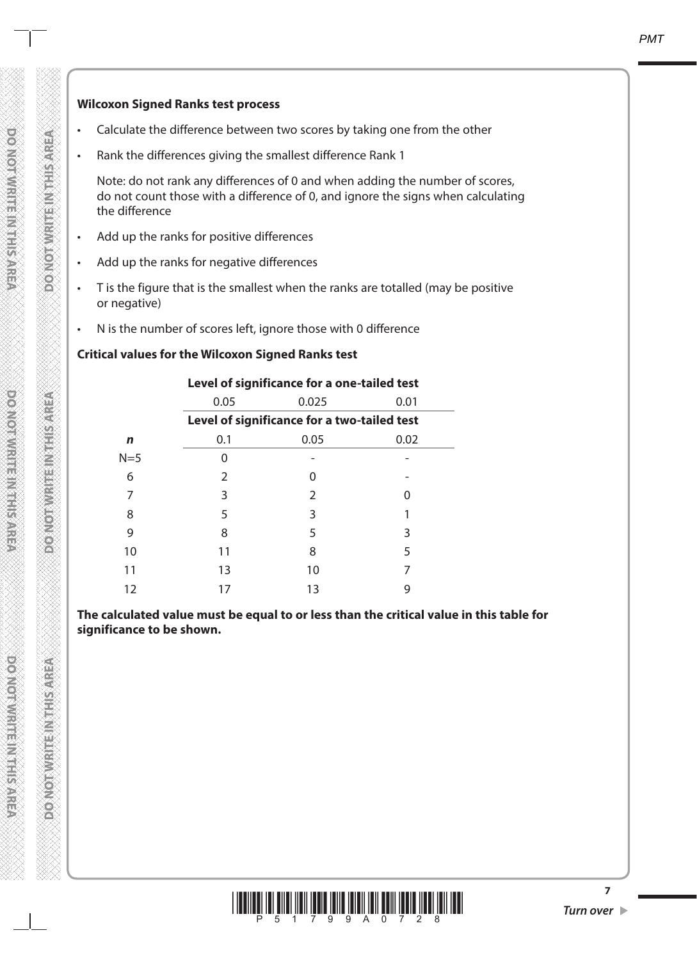# **Wilcoxon Signed Ranks test process**

- Calculate the difference between two scores by taking one from the other
- Rank the differences giving the smallest difference Rank 1

 Note: do not rank any differences of 0 and when adding the number of scores, do not count those with a difference of 0, and ignore the signs when calculating the difference

- Add up the ranks for positive differences
- Add up the ranks for negative differences
- T is the figure that is the smallest when the ranks are totalled (may be positive or negative)
- N is the number of scores left, ignore those with 0 difference

# **Critical values for the Wilcoxon Signed Ranks test**

|       |               | Level of significance for a one-tailed test |      |  |  |  |  |  |  |  |
|-------|---------------|---------------------------------------------|------|--|--|--|--|--|--|--|
|       | 0.05          | 0.025                                       | 0.01 |  |  |  |  |  |  |  |
|       |               | Level of significance for a two-tailed test |      |  |  |  |  |  |  |  |
| n     | 0.1           | 0.05                                        | 0.02 |  |  |  |  |  |  |  |
| $N=5$ | O             |                                             |      |  |  |  |  |  |  |  |
| 6     | $\mathcal{P}$ |                                             |      |  |  |  |  |  |  |  |
| 7     | 3             | 2                                           |      |  |  |  |  |  |  |  |
| 8     | 5             | 3                                           |      |  |  |  |  |  |  |  |
| 9     | 8             | 5                                           | 3    |  |  |  |  |  |  |  |
| 10    | 11            | 8                                           | 5    |  |  |  |  |  |  |  |
| 11    | 13            | 10                                          | 7    |  |  |  |  |  |  |  |
| 12    | 17            | 13                                          | g    |  |  |  |  |  |  |  |

**The calculated value must be equal to or less than the critical value in this table for significance to be shown.** 



**DO NOT WRITER NEWS OVER**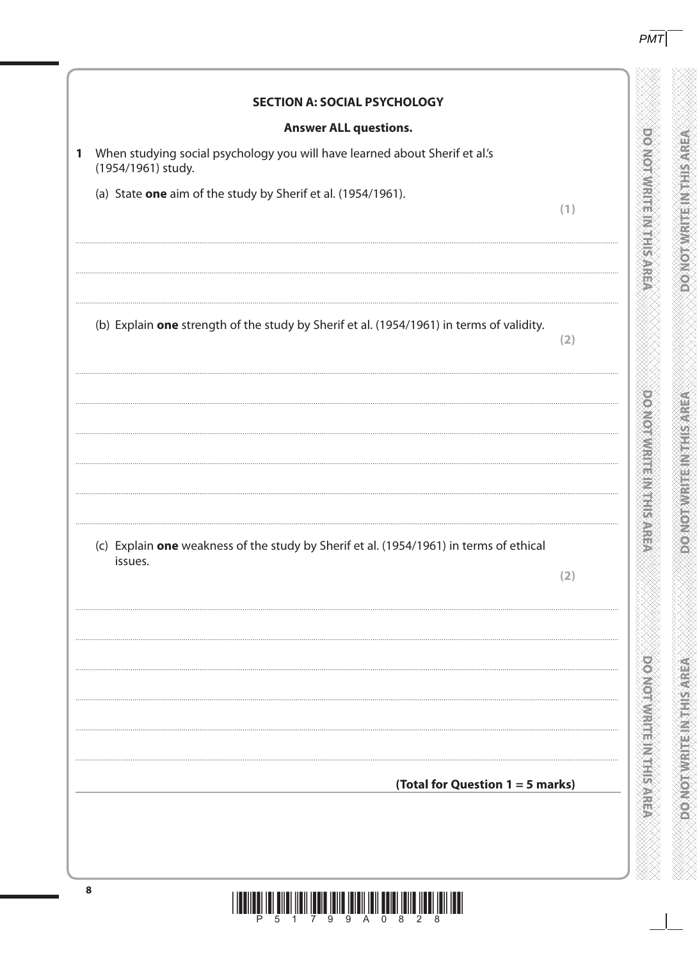| <b>Answer ALL questions.</b>                                                                      |     |
|---------------------------------------------------------------------------------------------------|-----|
| When studying social psychology you will have learned about Sherif et al.'s<br>(1954/1961) study. |     |
| (a) State one aim of the study by Sherif et al. (1954/1961).                                      |     |
|                                                                                                   | (1) |
|                                                                                                   |     |
|                                                                                                   |     |
| (b) Explain one strength of the study by Sherif et al. (1954/1961) in terms of validity.          |     |
|                                                                                                   | (2) |
|                                                                                                   |     |
|                                                                                                   |     |
|                                                                                                   |     |
|                                                                                                   |     |
|                                                                                                   |     |
| (c) Explain one weakness of the study by Sherif et al. (1954/1961) in terms of ethical            |     |
| issues.                                                                                           | (2) |
|                                                                                                   |     |
|                                                                                                   |     |
|                                                                                                   |     |
|                                                                                                   |     |
|                                                                                                   |     |
|                                                                                                   |     |
| (Total for Question 1 = 5 marks)                                                                  |     |
|                                                                                                   |     |
|                                                                                                   |     |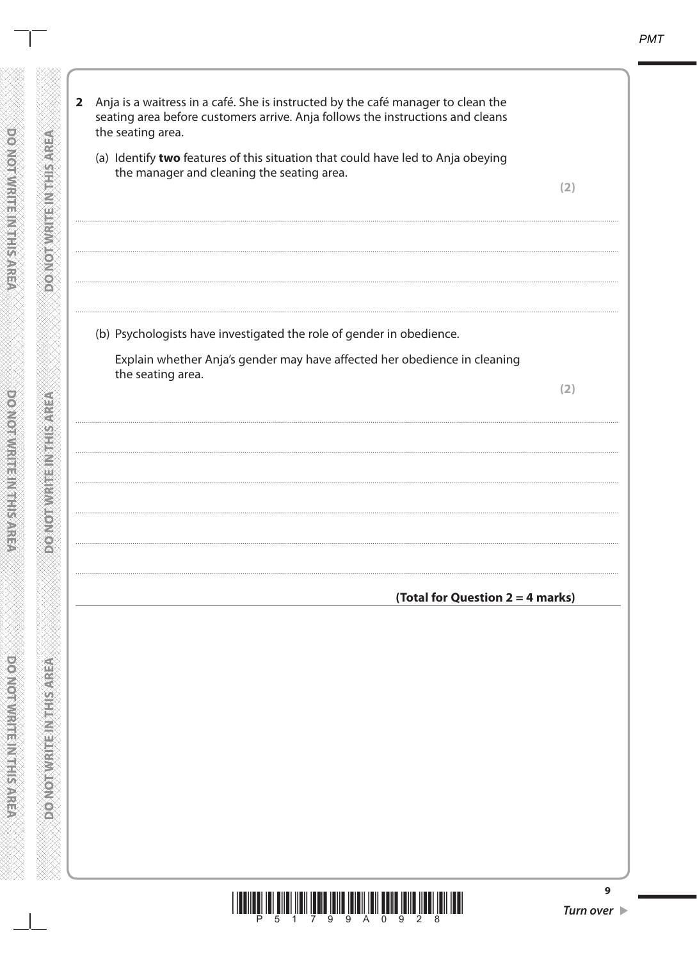| Anja is a waitress in a café. She is instructed by the café manager to clean the<br>seating area before customers arrive. Anja follows the instructions and cleans<br>the seating area. |     |
|-----------------------------------------------------------------------------------------------------------------------------------------------------------------------------------------|-----|
| (a) Identify two features of this situation that could have led to Anja obeying<br>the manager and cleaning the seating area.                                                           | (2) |
|                                                                                                                                                                                         |     |
|                                                                                                                                                                                         |     |
| (b) Psychologists have investigated the role of gender in obedience.                                                                                                                    |     |
| Explain whether Anja's gender may have affected her obedience in cleaning<br>the seating area.                                                                                          |     |
|                                                                                                                                                                                         | (2) |
|                                                                                                                                                                                         |     |
|                                                                                                                                                                                         |     |
|                                                                                                                                                                                         |     |
|                                                                                                                                                                                         |     |
|                                                                                                                                                                                         |     |
|                                                                                                                                                                                         |     |
| (Total for Question 2 = 4 marks)                                                                                                                                                        |     |
|                                                                                                                                                                                         |     |
|                                                                                                                                                                                         |     |
|                                                                                                                                                                                         |     |
|                                                                                                                                                                                         |     |
|                                                                                                                                                                                         |     |
|                                                                                                                                                                                         |     |
|                                                                                                                                                                                         |     |
|                                                                                                                                                                                         |     |
|                                                                                                                                                                                         |     |
|                                                                                                                                                                                         |     |
|                                                                                                                                                                                         |     |

**DO NOT WRITE IN THIS AREA** 

**DONOTWRITEINTHISAREA** 

**DO NOT WRITE IN THIS AREA**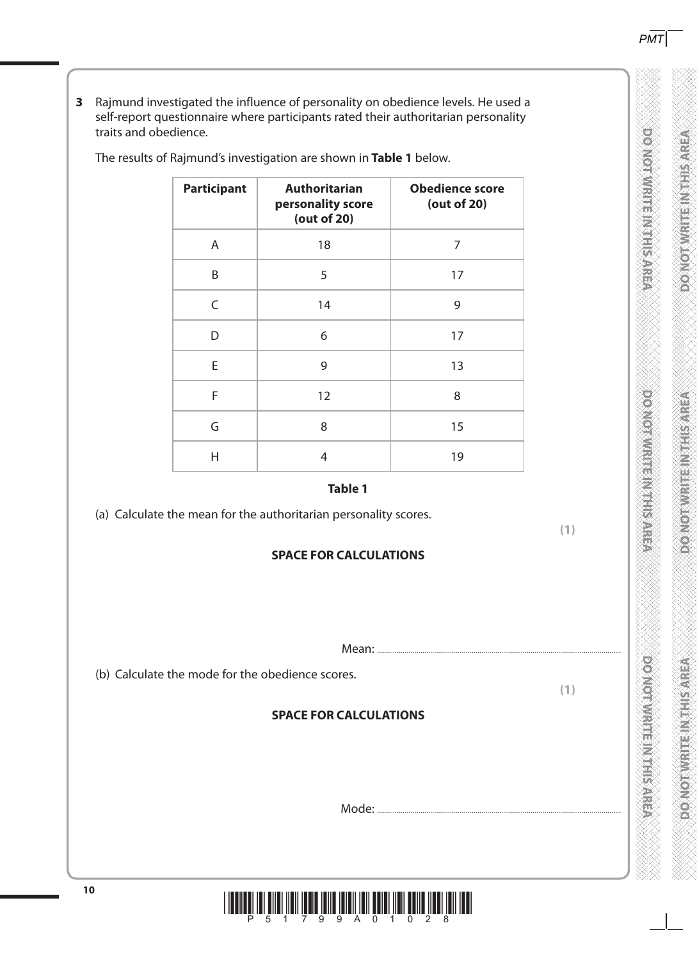DO NOTWRITE MITHIS AREA

**DO NO MENTENTIAL SATISF** 

DONOTWEIRS MITHS AREA

**3** Rajmund investigated the influence of personality on obedience levels. He used a self-report questionnaire where participants rated their authoritarian personality traits and obedience.

| <b>Participant</b> | <b>Authoritarian</b><br>personality score<br>(out of 20) | <b>Obedience score</b><br>(out of 20) |  |  |  |
|--------------------|----------------------------------------------------------|---------------------------------------|--|--|--|
| A                  | 18                                                       | 7                                     |  |  |  |
| B                  | 5                                                        | 17                                    |  |  |  |
| $\mathsf{C}$       | 14                                                       | 9                                     |  |  |  |
| D                  | 6                                                        | 17<br>13                              |  |  |  |
| E                  | 9                                                        |                                       |  |  |  |
| F                  | 12                                                       | 8                                     |  |  |  |
| G                  | 8                                                        | 15                                    |  |  |  |
| Н                  | 4                                                        | 19                                    |  |  |  |

The results of Rajmund's investigation are shown in **Table 1** below.

#### **Table 1**

(a) Calculate the mean for the authoritarian personality scores.

**(1)**

# **SPACE FOR CALCULATIONS**

Mean: ............................................................................................................................

(b) Calculate the mode for the obedience scores.

**(1)**

# **SPACE FOR CALCULATIONS**

Mode: ............................................................................................................................

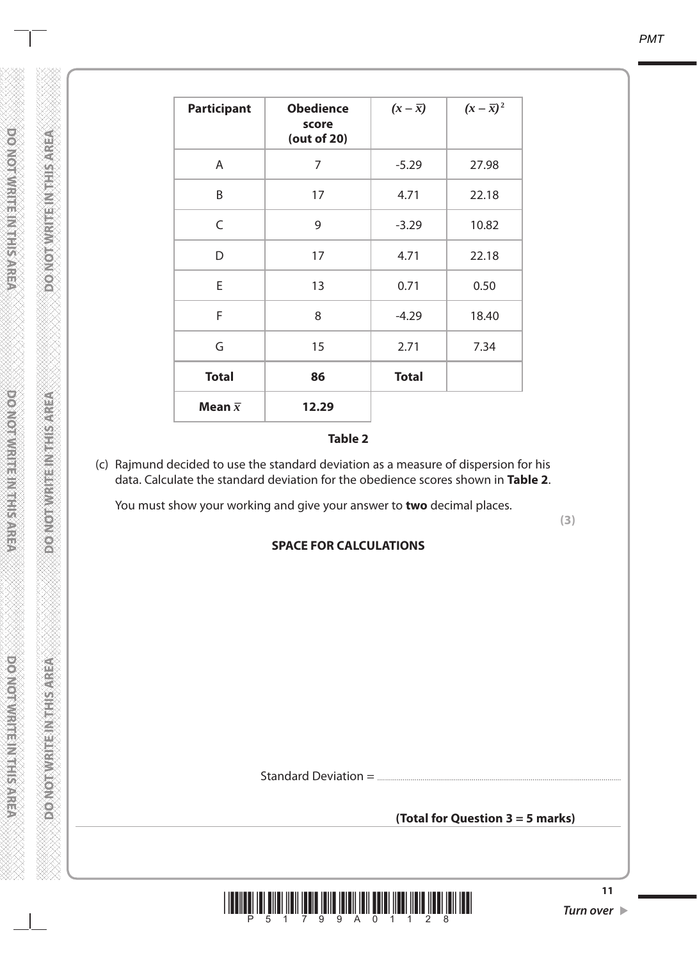| <b>Participant</b> | <b>Obedience</b><br>score<br>(out of 20) | $(x-\overline{x})$ | $(x-\overline{x})^2$ |
|--------------------|------------------------------------------|--------------------|----------------------|
| A                  | $\overline{7}$                           | $-5.29$            | 27.98                |
| B                  | 17                                       | 4.71               | 22.18                |
| C                  | 9                                        | $-3.29$            | 10.82                |
| D                  | 17                                       | 4.71               | 22.18                |
| E                  | 13                                       | 0.71               | 0.50                 |
| F                  | 8                                        | $-4.29$            | 18.40                |
| G                  | 15                                       | 2.71               | 7.34                 |
| <b>Total</b>       | 86                                       | <b>Total</b>       |                      |
| Mean $\bar{x}$     | 12.29                                    |                    |                      |

#### **Table 2**

(c) Rajmund decided to use the standard deviation as a measure of dispersion for his data. Calculate the standard deviation for the obedience scores shown in **Table 2**.

You must show your working and give your answer to **two** decimal places.

**(3)**

# **SPACE FOR CALCULATIONS**

# **(Total for Question 3 = 5 marks)**



**11**

**DO NOT WRITE IN THIS AREA**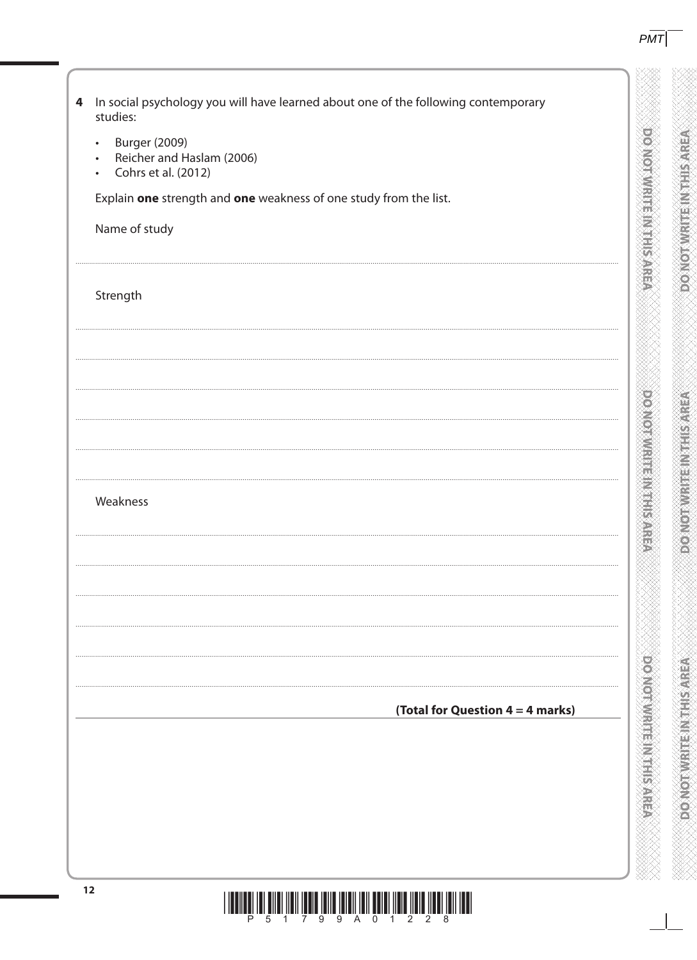XXXXXXXX

XXXX

XXXXXXXXXXXXX

メントスントン

| In social psychology you will have learned about one of the following contemporary<br>4<br>studies:                                                                               |                               |
|-----------------------------------------------------------------------------------------------------------------------------------------------------------------------------------|-------------------------------|
| <b>Burger (2009)</b><br>$\bullet$<br>Reicher and Haslam (2006)<br>$\bullet$<br>Cohrs et al. (2012)<br>$\bullet$                                                                   | <b>DOVIDIANTIEENTRANEN</b>    |
| Explain one strength and one weakness of one study from the list.                                                                                                                 |                               |
| Name of study                                                                                                                                                                     |                               |
| Strength                                                                                                                                                                          |                               |
|                                                                                                                                                                                   |                               |
|                                                                                                                                                                                   |                               |
|                                                                                                                                                                                   |                               |
| Weakness                                                                                                                                                                          | <b>DONOMIAL REPORTS</b>       |
|                                                                                                                                                                                   |                               |
|                                                                                                                                                                                   |                               |
|                                                                                                                                                                                   |                               |
| (Total for Question 4 = 4 marks)                                                                                                                                                  |                               |
|                                                                                                                                                                                   | <b>DOMOTOWARE MARTIS AREA</b> |
|                                                                                                                                                                                   |                               |
|                                                                                                                                                                                   |                               |
| 12<br><u> ANTI MENTELI I DI TENEN MENTELI MENTELI MENELLI DI TENEN DI TENEN DI TENEN MENELLI DI TENEN MENELLI DI TENEN</u><br>$\overline{9}$<br>9<br>$\Omega$<br>5<br>$7^{\circ}$ |                               |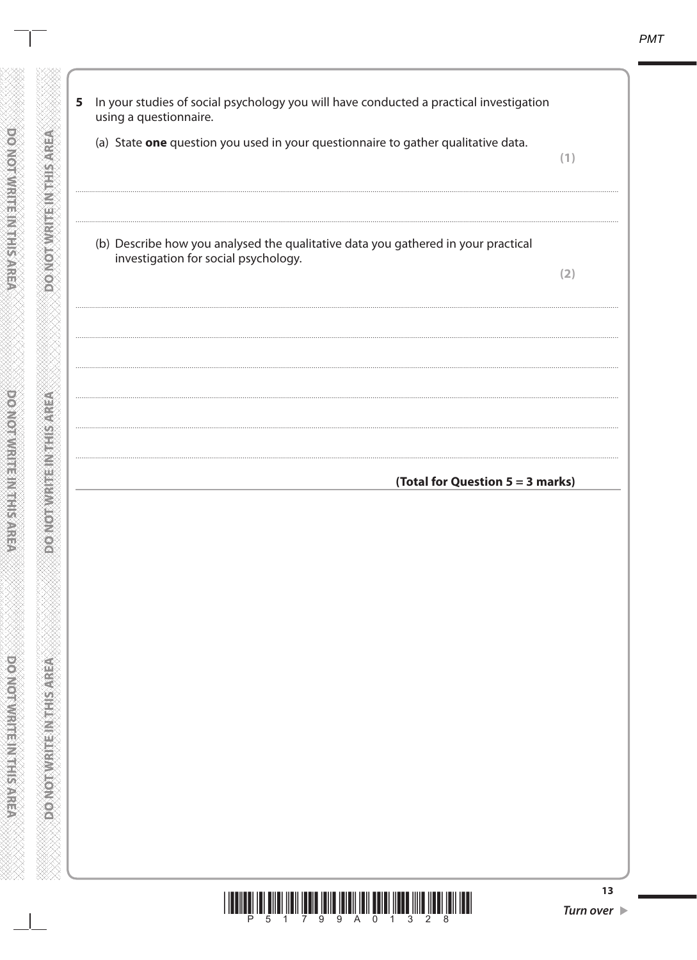In your studies of social psychology you will have conducted a practical investigation  $5\overline{)}$ using a questionnaire. **MERIA SILENIA ET NAVE DON OG** (a) State one question you used in your questionnaire to gather qualitative data.  $(1)$ (b) Describe how you analysed the qualitative data you gathered in your practical investigation for social psychology.  $(2)$ **DONOT WRITE INTHIS AREA** (Total for Question  $5 = 3$  marks) **POINOT WRITEINTHIS AREA** 

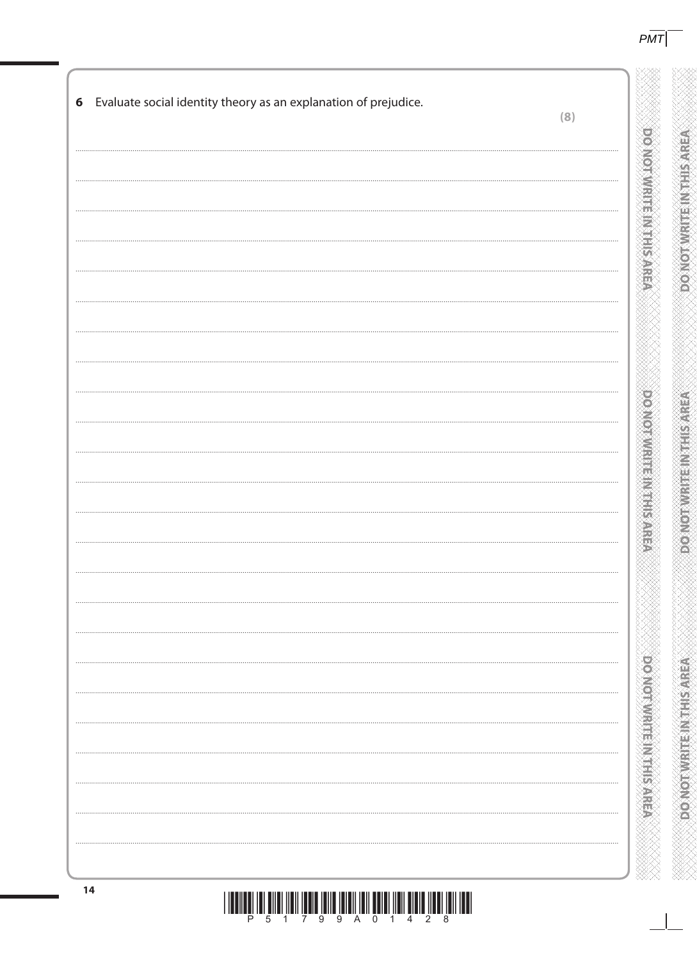| 6 Evaluate social identity theory as an explanation of prejudice. | (8)<br> |
|-------------------------------------------------------------------|---------|
|                                                                   |         |
|                                                                   |         |
|                                                                   |         |
|                                                                   | .       |
|                                                                   | .       |
|                                                                   |         |
|                                                                   |         |
|                                                                   |         |
|                                                                   |         |
|                                                                   |         |
|                                                                   |         |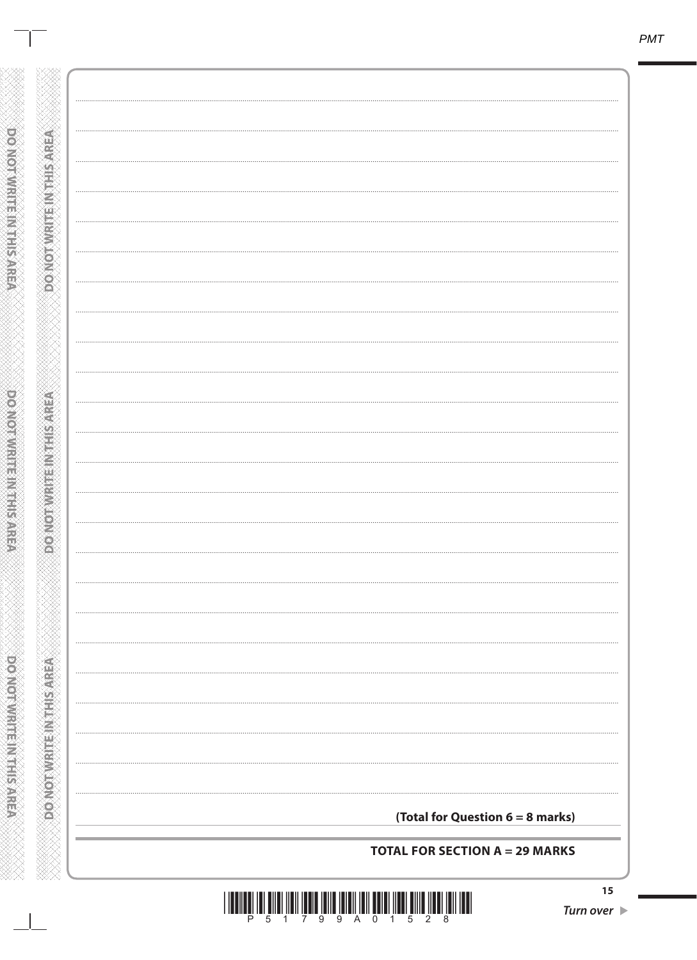| <b>TOTAL FOR SECTION A = 29 MARKS</b> |
|---------------------------------------|
| (Total for Question 6 = 8 marks)      |
|                                       |
|                                       |
|                                       |
|                                       |
|                                       |
|                                       |
|                                       |
|                                       |
|                                       |
|                                       |
|                                       |
|                                       |
|                                       |
|                                       |
|                                       |
|                                       |
|                                       |
|                                       |
|                                       |
|                                       |
|                                       |
|                                       |
|                                       |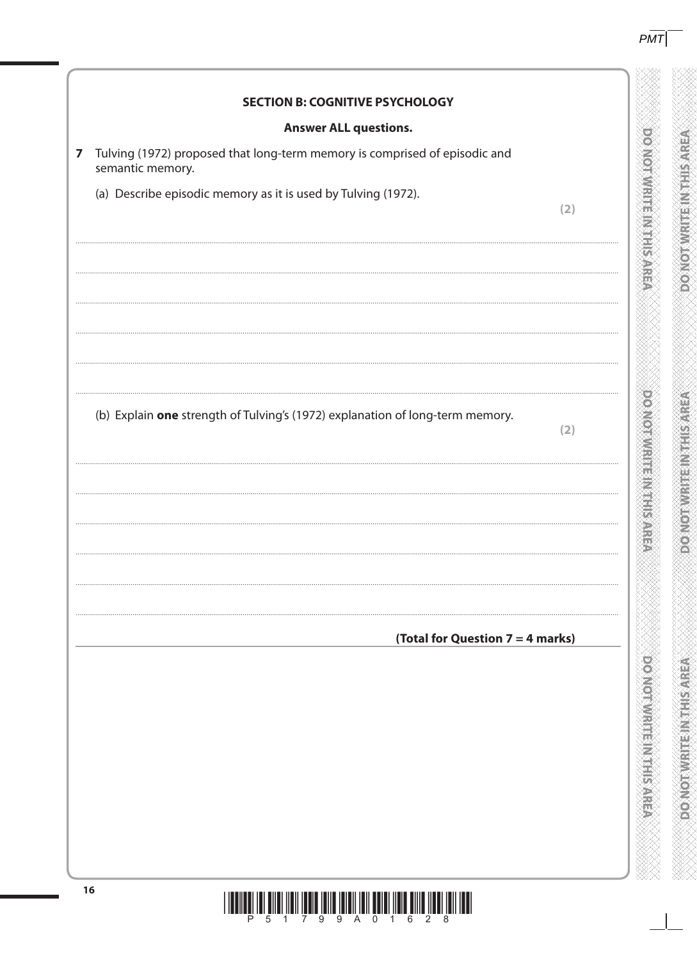|                | <b>SECTION B: COGNITIVE PSYCHOLOGY</b>                                                         |     |
|----------------|------------------------------------------------------------------------------------------------|-----|
|                | <b>Answer ALL questions.</b>                                                                   |     |
| $\overline{z}$ | Tulving (1972) proposed that long-term memory is comprised of episodic and<br>semantic memory. |     |
|                | (a) Describe episodic memory as it is used by Tulving (1972).                                  | (2) |
|                |                                                                                                |     |
|                |                                                                                                |     |
|                |                                                                                                |     |
|                |                                                                                                |     |
|                |                                                                                                |     |
|                |                                                                                                |     |
|                |                                                                                                |     |
|                | (b) Explain one strength of Tulving's (1972) explanation of long-term memory.                  | (2) |
|                |                                                                                                |     |
|                |                                                                                                |     |
|                |                                                                                                |     |
|                |                                                                                                |     |
|                |                                                                                                |     |
|                |                                                                                                |     |
|                |                                                                                                |     |
|                | (Total for Question 7 = 4 marks)                                                               |     |
|                |                                                                                                |     |
|                |                                                                                                |     |
|                |                                                                                                |     |
|                |                                                                                                |     |
|                |                                                                                                |     |
|                |                                                                                                |     |
|                |                                                                                                |     |
|                |                                                                                                |     |
|                |                                                                                                |     |

**DO NOTIVIRITE IN FIRMANCY** 

**DOMOITMENT HIS NEED** 

**DONOTWRITE INTHIS AREA** XXXXXXXXXXXXXXX

1000 A.

e Salah Salah Salah Salah Salah Salah Salah Salah Salah Salah Salah Salah Salah Salah Salah Salah Salah Salah

XXX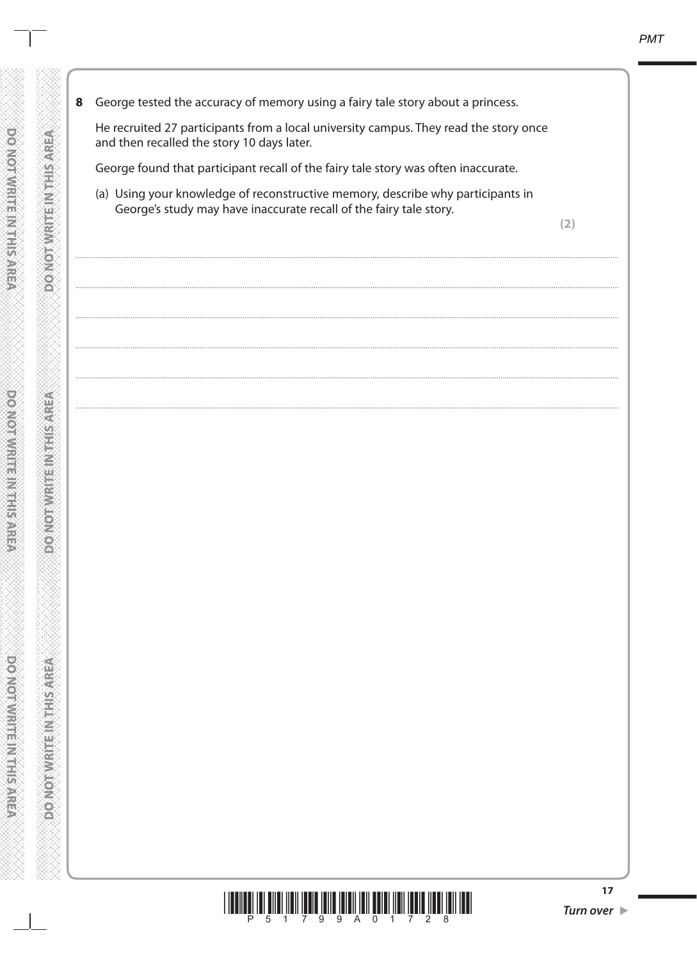George tested the accuracy of memory using a fairy tale story about a princess. 8 He recruited 27 participants from a local university campus. They read the story once and then recalled the story 10 days later. George found that participant recall of the fairy tale story was often inaccurate. (a) Using your knowledge of reconstructive memory, describe why participants in George's study may have inaccurate recall of the fairy tale story.  $(2)$ 

**ABBASE HIMELER MARQUONG** 

**DOMORAVISTICITY** 

**ASSINGT MARTERN TENS AREA**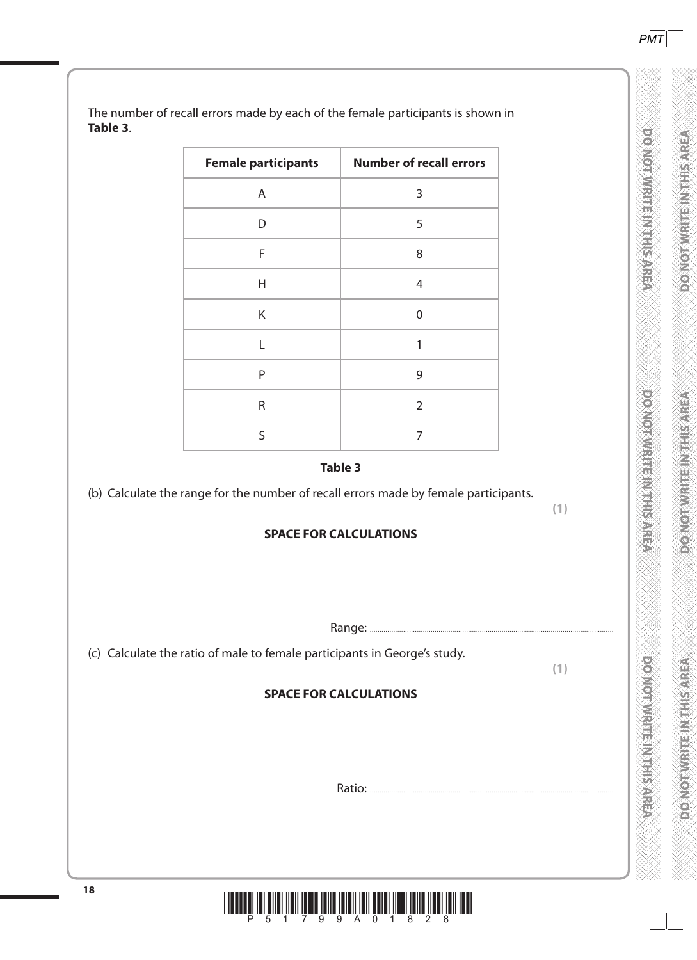# **Female participants | Number of recall errors** A 3 D 5 F 8 H 4 K 0 L 1 P 9 R 2 S  $\vert$  7 **Table 3** (b) Calculate the range for the number of recall errors made by female participants. **(1) SPACE FOR CALCULATIONS** Range: ............................................................................................................................ (c) Calculate the ratio of male to female participants in George's study. **(1) SPACE FOR CALCULATIONS** Ratio: ............................................................................................................................

The number of recall errors made by each of the female participants is shown in **Table 3**.

**18**<br> $\begin{bmatrix} \begin{bmatrix} 0 \\ 0 \end{bmatrix} & \begin{bmatrix} 0 \\ 0 \end{bmatrix} & \begin{bmatrix} 0 \\ 0 \end{bmatrix} & \begin{bmatrix} 0 \\ 0 \end{bmatrix} & \begin{bmatrix} 0 \\ 0 \end{bmatrix} & \begin{bmatrix} 0 \\ 0 \end{bmatrix} & \begin{bmatrix} 0 \\ 0 \end{bmatrix} & \begin{bmatrix} 0 \\ 0 \end{bmatrix} & \begin{bmatrix} 0 \\ 0 \end{bmatrix} & \begin{bmatrix} 0 \\ 0 \end{bmatrix} & \begin{bmatrix} 0 \\ 0 \end{bmatrix} & \begin{bmatrix} 0 \\ 0 \$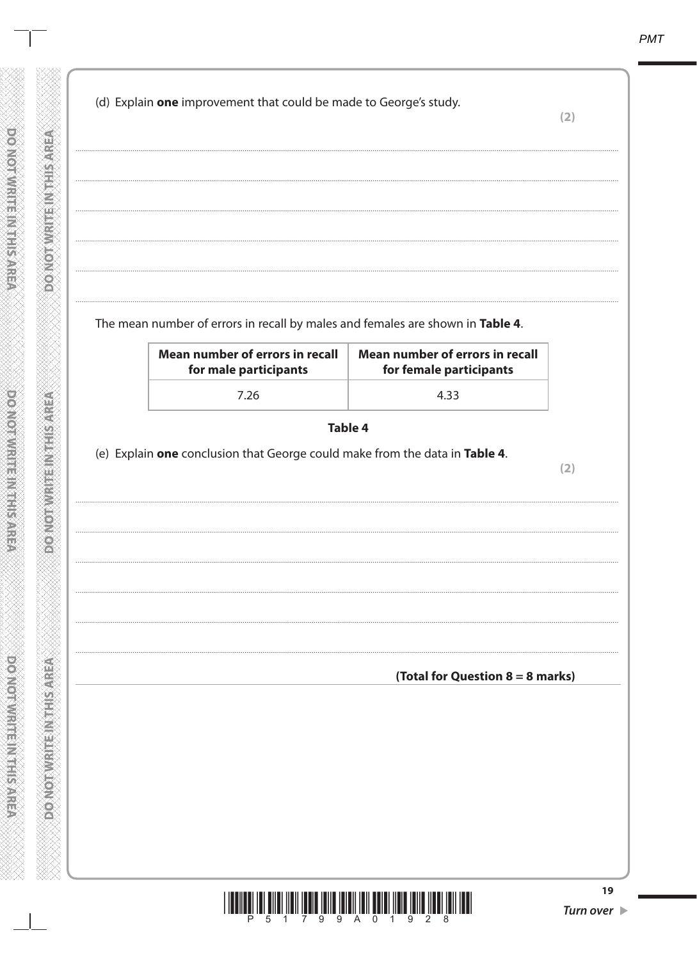|                                                                                |                                                            | (2) |
|--------------------------------------------------------------------------------|------------------------------------------------------------|-----|
|                                                                                |                                                            |     |
|                                                                                |                                                            |     |
|                                                                                |                                                            |     |
| The mean number of errors in recall by males and females are shown in Table 4. |                                                            |     |
| Mean number of errors in recall<br>for male participants                       | Mean number of errors in recall<br>for female participants |     |
| 7.26                                                                           | 4.33                                                       |     |
|                                                                                | <b>Table 4</b>                                             |     |
| (e) Explain one conclusion that George could make from the data in Table 4.    |                                                            | (2) |
|                                                                                |                                                            |     |
|                                                                                |                                                            |     |
|                                                                                |                                                            |     |
|                                                                                |                                                            |     |
|                                                                                |                                                            |     |
|                                                                                |                                                            |     |
|                                                                                |                                                            |     |
|                                                                                | (Total for Question 8 = 8 marks)                           |     |
|                                                                                |                                                            |     |
|                                                                                |                                                            |     |
|                                                                                |                                                            |     |
|                                                                                |                                                            |     |

**PONOTWERE INTHIS AREA** 

**DONOTWRITEINTHISAREA** 

**DOMOT WRITE IN THIS AREA**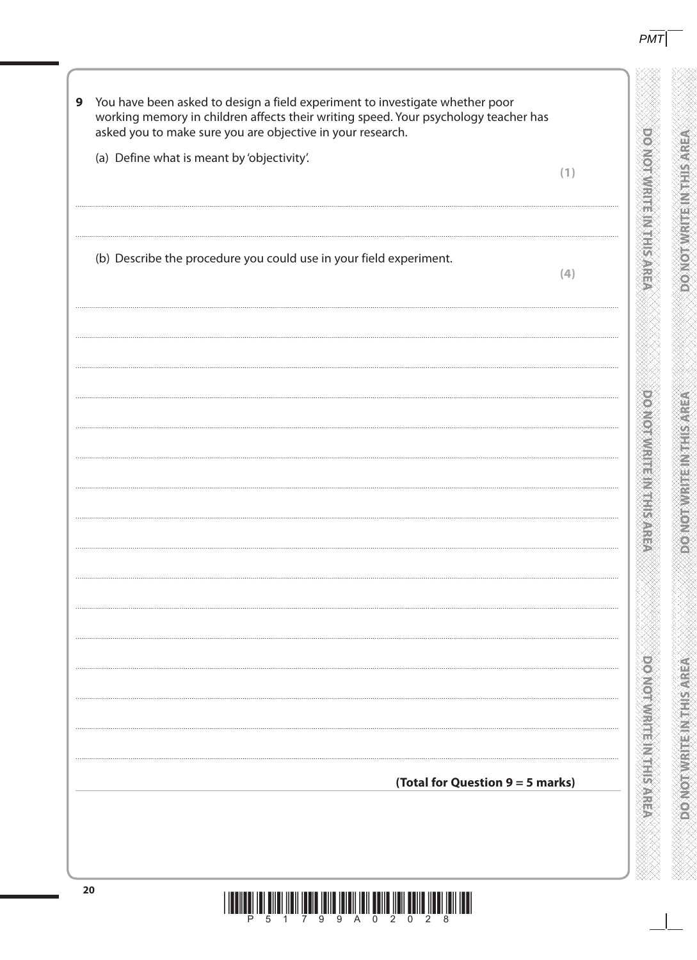| 9 | You have been asked to design a field experiment to investigate whether poor<br>working memory in children affects their writing speed. Your psychology teacher has<br>asked you to make sure you are objective in your research. |     |
|---|-----------------------------------------------------------------------------------------------------------------------------------------------------------------------------------------------------------------------------------|-----|
|   | (a) Define what is meant by 'objectivity'.                                                                                                                                                                                        |     |
|   |                                                                                                                                                                                                                                   | (1) |
|   |                                                                                                                                                                                                                                   |     |
|   |                                                                                                                                                                                                                                   |     |
|   |                                                                                                                                                                                                                                   |     |
|   | (b) Describe the procedure you could use in your field experiment.                                                                                                                                                                | (4) |
|   |                                                                                                                                                                                                                                   |     |
|   |                                                                                                                                                                                                                                   |     |
|   |                                                                                                                                                                                                                                   |     |
|   |                                                                                                                                                                                                                                   |     |
|   |                                                                                                                                                                                                                                   |     |
|   |                                                                                                                                                                                                                                   |     |
|   |                                                                                                                                                                                                                                   |     |
|   |                                                                                                                                                                                                                                   |     |
|   |                                                                                                                                                                                                                                   |     |
|   |                                                                                                                                                                                                                                   |     |
|   |                                                                                                                                                                                                                                   |     |
|   |                                                                                                                                                                                                                                   |     |
|   |                                                                                                                                                                                                                                   |     |
|   |                                                                                                                                                                                                                                   |     |
|   |                                                                                                                                                                                                                                   |     |
|   |                                                                                                                                                                                                                                   |     |
|   |                                                                                                                                                                                                                                   |     |
|   |                                                                                                                                                                                                                                   |     |
|   |                                                                                                                                                                                                                                   |     |
|   |                                                                                                                                                                                                                                   |     |
|   |                                                                                                                                                                                                                                   |     |
|   | (Total for Question 9 = 5 marks)                                                                                                                                                                                                  |     |
|   |                                                                                                                                                                                                                                   |     |
|   |                                                                                                                                                                                                                                   |     |
|   |                                                                                                                                                                                                                                   |     |
|   |                                                                                                                                                                                                                                   |     |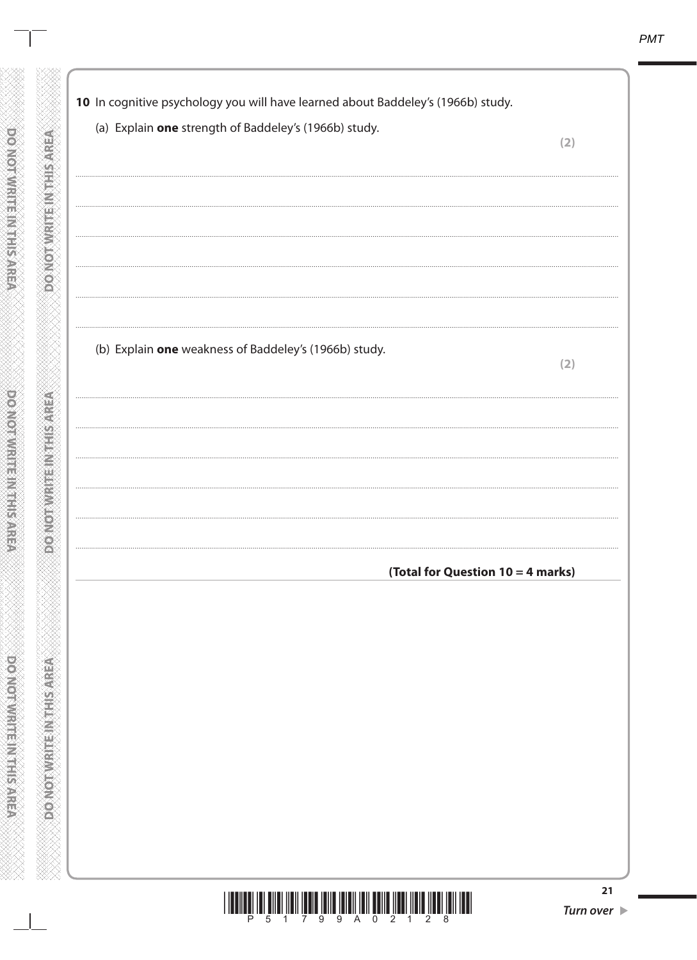| (a) Explain one strength of Baddeley's (1966b) study. | (2) |
|-------------------------------------------------------|-----|
|                                                       |     |
|                                                       |     |
|                                                       |     |
|                                                       |     |
|                                                       |     |
|                                                       |     |
| (b) Explain one weakness of Baddeley's (1966b) study. |     |
|                                                       | (2) |
|                                                       |     |
|                                                       |     |
|                                                       |     |
|                                                       |     |
|                                                       |     |
|                                                       |     |
| (Total for Question 10 = 4 marks)                     |     |
|                                                       |     |
|                                                       |     |
|                                                       |     |
|                                                       |     |
|                                                       |     |
|                                                       |     |
|                                                       |     |
|                                                       |     |
|                                                       |     |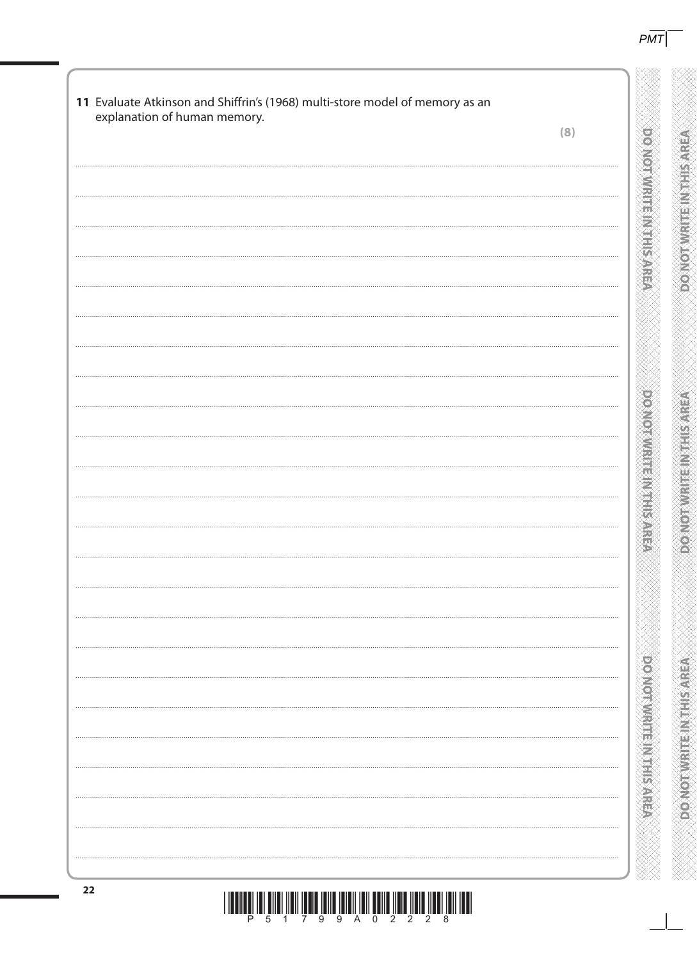| 11 Evaluate Atkinson and Shiffrin's (1968) multi-store model of memory as an<br>explanation of human memory. |     |
|--------------------------------------------------------------------------------------------------------------|-----|
|                                                                                                              | (8) |
|                                                                                                              |     |
|                                                                                                              |     |
|                                                                                                              |     |
|                                                                                                              |     |
|                                                                                                              |     |
|                                                                                                              |     |
|                                                                                                              |     |
|                                                                                                              |     |
|                                                                                                              |     |
|                                                                                                              |     |
|                                                                                                              |     |
|                                                                                                              |     |
|                                                                                                              |     |
|                                                                                                              |     |
|                                                                                                              |     |
|                                                                                                              |     |
|                                                                                                              |     |
|                                                                                                              |     |
|                                                                                                              |     |
|                                                                                                              |     |
|                                                                                                              |     |
|                                                                                                              |     |
|                                                                                                              |     |
|                                                                                                              |     |
|                                                                                                              |     |
|                                                                                                              |     |
|                                                                                                              |     |
|                                                                                                              |     |
|                                                                                                              |     |
|                                                                                                              |     |
|                                                                                                              |     |
|                                                                                                              |     |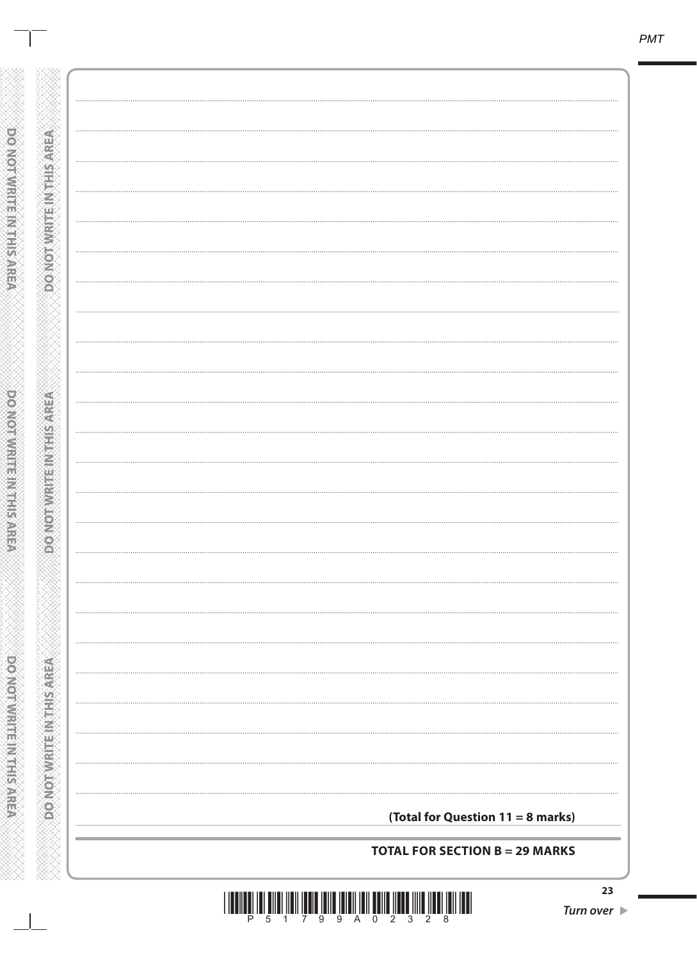| <br>$\ddot{\bullet}$<br>.<br><br><br><b>DO NOT WRITE IN THIS AREA</b><br><br>(Total for Question 11 = 8 marks)<br><b>TOTAL FOR SECTION B = 29 MARKS</b> |  |
|---------------------------------------------------------------------------------------------------------------------------------------------------------|--|
|                                                                                                                                                         |  |
|                                                                                                                                                         |  |
|                                                                                                                                                         |  |
|                                                                                                                                                         |  |
|                                                                                                                                                         |  |
|                                                                                                                                                         |  |
|                                                                                                                                                         |  |
|                                                                                                                                                         |  |
|                                                                                                                                                         |  |
|                                                                                                                                                         |  |
|                                                                                                                                                         |  |
|                                                                                                                                                         |  |
|                                                                                                                                                         |  |
|                                                                                                                                                         |  |
|                                                                                                                                                         |  |
|                                                                                                                                                         |  |
|                                                                                                                                                         |  |
|                                                                                                                                                         |  |
|                                                                                                                                                         |  |
|                                                                                                                                                         |  |
|                                                                                                                                                         |  |
|                                                                                                                                                         |  |
|                                                                                                                                                         |  |
|                                                                                                                                                         |  |
|                                                                                                                                                         |  |
|                                                                                                                                                         |  |
|                                                                                                                                                         |  |
|                                                                                                                                                         |  |
|                                                                                                                                                         |  |
|                                                                                                                                                         |  |
|                                                                                                                                                         |  |
|                                                                                                                                                         |  |
|                                                                                                                                                         |  |
|                                                                                                                                                         |  |
|                                                                                                                                                         |  |
|                                                                                                                                                         |  |
|                                                                                                                                                         |  |
|                                                                                                                                                         |  |
|                                                                                                                                                         |  |
|                                                                                                                                                         |  |
|                                                                                                                                                         |  |
|                                                                                                                                                         |  |
|                                                                                                                                                         |  |
|                                                                                                                                                         |  |
|                                                                                                                                                         |  |
|                                                                                                                                                         |  |
|                                                                                                                                                         |  |
|                                                                                                                                                         |  |
|                                                                                                                                                         |  |
|                                                                                                                                                         |  |
|                                                                                                                                                         |  |
|                                                                                                                                                         |  |
|                                                                                                                                                         |  |
|                                                                                                                                                         |  |
|                                                                                                                                                         |  |
|                                                                                                                                                         |  |
|                                                                                                                                                         |  |
|                                                                                                                                                         |  |
|                                                                                                                                                         |  |
|                                                                                                                                                         |  |
|                                                                                                                                                         |  |
|                                                                                                                                                         |  |
|                                                                                                                                                         |  |
|                                                                                                                                                         |  |
|                                                                                                                                                         |  |
|                                                                                                                                                         |  |
|                                                                                                                                                         |  |
|                                                                                                                                                         |  |
|                                                                                                                                                         |  |
|                                                                                                                                                         |  |
|                                                                                                                                                         |  |
|                                                                                                                                                         |  |
|                                                                                                                                                         |  |
|                                                                                                                                                         |  |
|                                                                                                                                                         |  |
|                                                                                                                                                         |  |
|                                                                                                                                                         |  |
|                                                                                                                                                         |  |
|                                                                                                                                                         |  |

Turn over  $\blacktriangleright$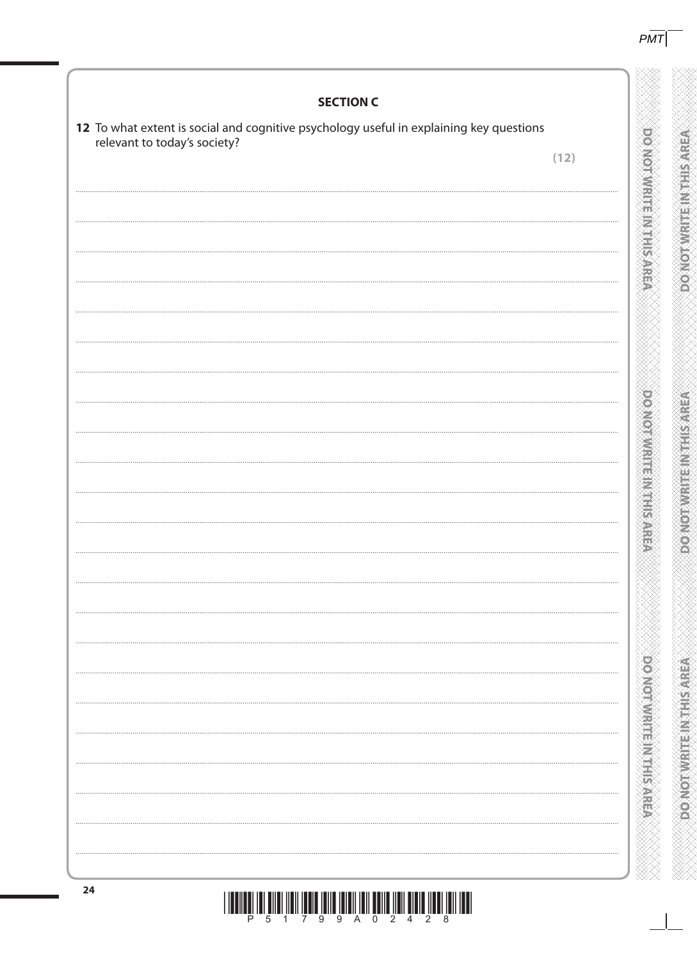| <b>SECTION C</b>                                                                        |      |
|-----------------------------------------------------------------------------------------|------|
| 12 To what extent is social and cognitive psychology useful in explaining key questions |      |
| relevant to today's society?                                                            | (12) |
|                                                                                         |      |
|                                                                                         |      |
|                                                                                         |      |
|                                                                                         |      |
|                                                                                         |      |
|                                                                                         |      |
|                                                                                         |      |
|                                                                                         |      |
|                                                                                         |      |
|                                                                                         |      |
|                                                                                         |      |
|                                                                                         |      |
|                                                                                         |      |
|                                                                                         |      |
|                                                                                         |      |
|                                                                                         |      |
|                                                                                         |      |
|                                                                                         |      |
|                                                                                         |      |
|                                                                                         |      |
|                                                                                         |      |
|                                                                                         |      |
|                                                                                         |      |
|                                                                                         | .    |
|                                                                                         |      |
|                                                                                         | .    |
|                                                                                         |      |
|                                                                                         |      |
|                                                                                         |      |
|                                                                                         |      |
|                                                                                         |      |
|                                                                                         |      |
|                                                                                         |      |

 $P\overline{MT}$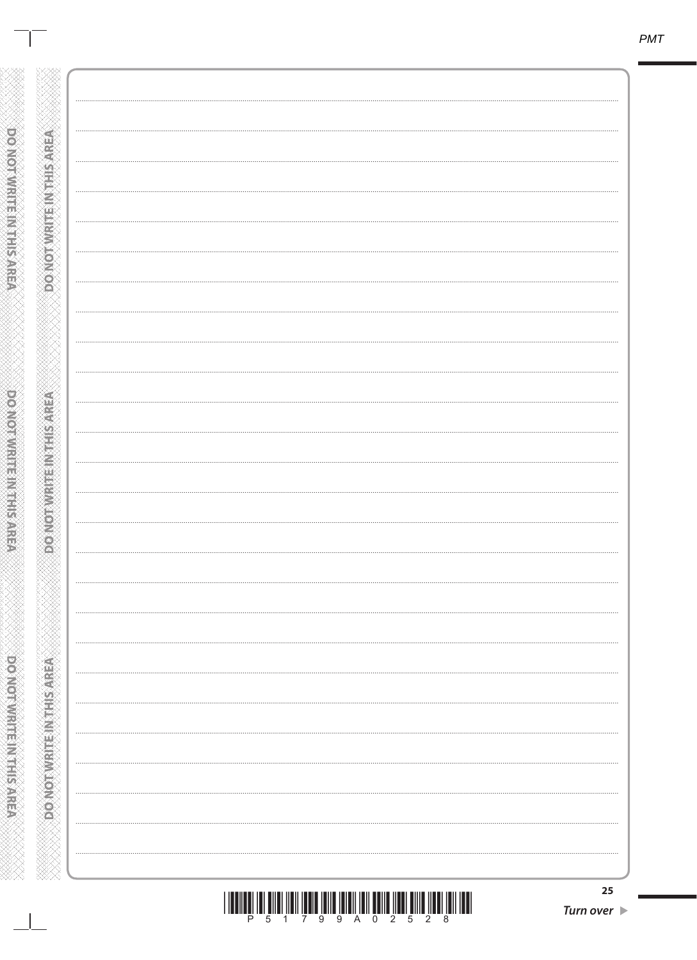|  | 25 |
|--|----|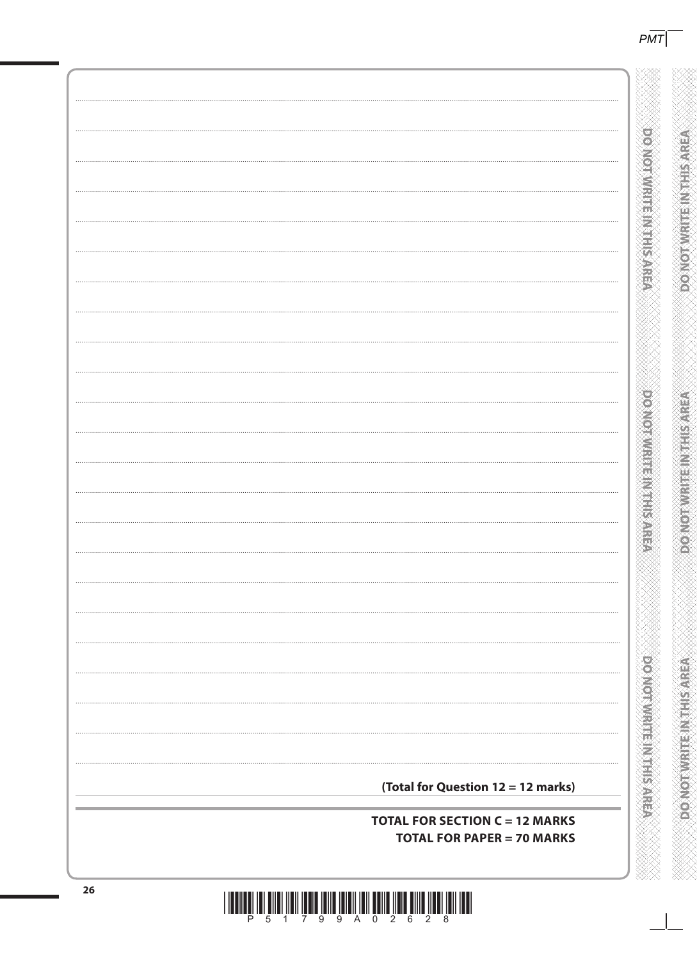| (Total for Question 12 = 12 marks)                                         |
|----------------------------------------------------------------------------|
| <b>TOTAL FOR SECTION C = 12 MARKS</b><br><b>TOTAL FOR PAPER = 70 MARKS</b> |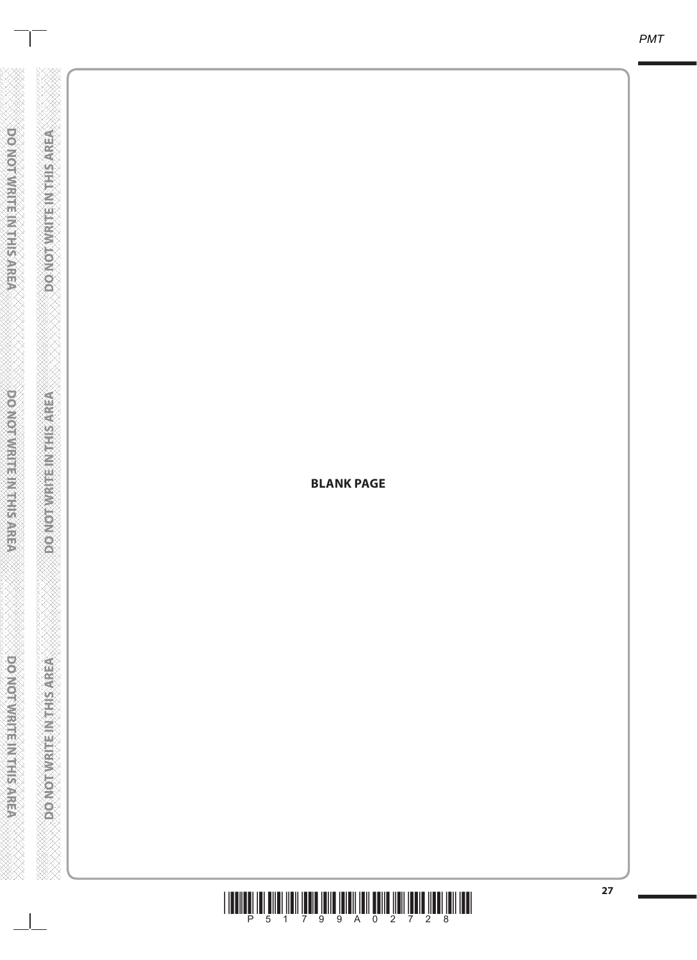**DONOTWRITEINTHISAREA** 

**BLANK PAGE**